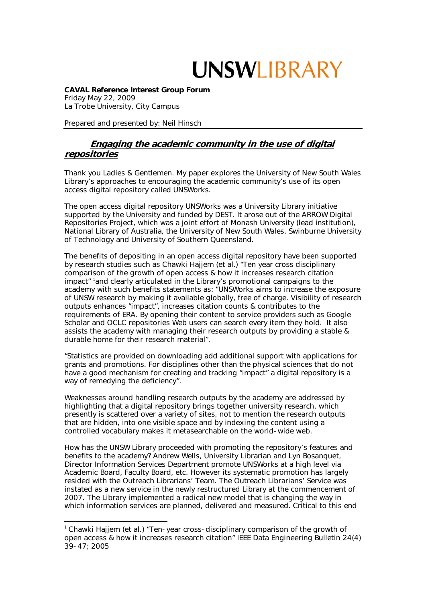**CAVAL Reference Interest Group Forum**  Friday May 22, 2009 La Trobe University, City Campus

Prepared and presented by: Neil Hinsch

1

## **Engaging the academic community in the use of digital repositories**

Thank you Ladies & Gentlemen. My paper explores the University of New South Wales Library's approaches to encouraging the academic community's use of its open access digital repository called UNSWorks.

The open access digital repository UNSWorks was a University Library initiative supported by the University and funded by DEST. It arose out of the ARROW Digital Repositories Project, which was a joint effort of Monash University (lead institution), National Library of Australia, the University of New South Wales, Swinburne University of Technology and University of Southern Queensland.

The benefits of depositing in an open access digital repository have been supported by research studies such as Chawki Hajjem (et al.) "Ten year cross disciplinary comparison of the growth of open access & how it increases research citation impact" 1 and clearly articulated in the Library's promotional campaigns to the academy with such benefits statements as: "UNSWorks aims to increase the exposure of UNSW research by making it available globally, free of charge. Visibility of research outputs enhances "impact", increases citation counts & contributes to the requirements of ERA. By opening their content to service providers such as Google Scholar and OCLC repositories Web users can search every item they hold. It also assists the academy with managing their research outputs by providing a stable & durable home for their research material".

"Statistics are provided on downloading add additional support with applications for grants and promotions. For disciplines other than the physical sciences that do not have a good mechanism for creating and tracking "impact" a digital repository is a way of remedying the deficiency".

Weaknesses around handling research outputs by the academy are addressed by highlighting that a digital repository brings together university research, which presently is scattered over a variety of sites, not to mention the research outputs that are hidden, into one visible space and by indexing the content using a controlled vocabulary makes it metasearchable on the world-wide web.

How has the UNSW Library proceeded with promoting the repository's features and benefits to the academy? Andrew Wells, University Librarian and Lyn Bosanquet, Director Information Services Department promote UNSWorks at a high level via Academic Board, Faculty Board, etc. However its systematic promotion has largely resided with the Outreach Librarians' Team. The Outreach Librarians' Service was instated as a new service in the newly restructured Library at the commencement of 2007. The Library implemented a radical new model that is changing the way in which information services are planned, delivered and measured. Critical to this end

 $1$  Chawki Haijem (et al.) "Ten-year cross-disciplinary comparison of the growth of open access & how it increases research citation" IEEE Data Engineering Bulletin 24(4) 39-47; 2005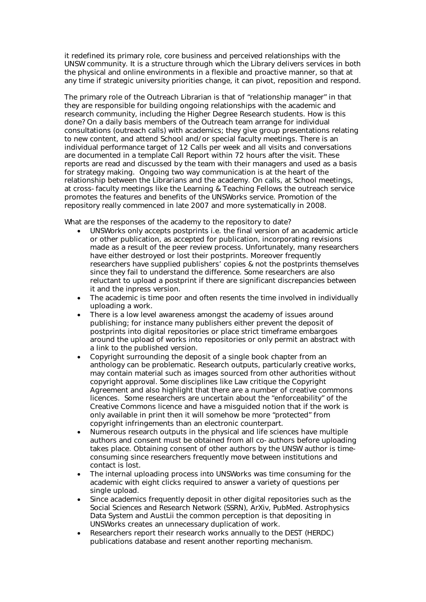it redefined its primary role, core business and perceived relationships with the UNSW community. It is a structure through which the Library delivers services in both the physical and online environments in a flexible and proactive manner, so that at any time if strategic university priorities change, it can pivot, reposition and respond.

The primary role of the Outreach Librarian is that of "relationship manager" in that they are responsible for building ongoing relationships with the academic and research community, including the Higher Degree Research students. How is this done? On a daily basis members of the Outreach team arrange for individual consultations (outreach calls) with academics; they give group presentations relating to new content, and attend School and/or special faculty meetings. There is an individual performance target of 12 Calls per week and all visits and conversations are documented in a template Call Report within 72 hours after the visit. These reports are read and discussed by the team with their managers and used as a basis for strategy making. Ongoing two way communication is at the heart of the relationship between the Librarians and the academy. On calls, at School meetings, at cross-faculty meetings like the Learning & Teaching Fellows the outreach service promotes the features and benefits of the UNSWorks service. Promotion of the repository really commenced in late 2007 and more systematically in 2008.

What are the responses of the academy to the repository to date?

- UNSWorks only accepts postprints i.e. the final version of an academic article or other publication, as accepted for publication, incorporating revisions made as a result of the peer review process. Unfortunately, many researchers have either destroyed or lost their postprints. Moreover frequently researchers have supplied publishers' copies & not the postprints themselves since they fail to understand the difference. Some researchers are also reluctant to upload a postprint if there are significant discrepancies between it and the inpress version.
- The academic is time poor and often resents the time involved in individually uploading a work.
- There is a low level awareness amongst the academy of issues around publishing; for instance many publishers either prevent the deposit of postprints into digital repositories or place strict timeframe embargoes around the upload of works into repositories or only permit an abstract with a link to the published version.
- Copyright surrounding the deposit of a single book chapter from an anthology can be problematic. Research outputs, particularly creative works, may contain material such as images sourced from other authorities without copyright approval. Some disciplines like Law critique the Copyright Agreement and also highlight that there are a number of creative commons licences. Some researchers are uncertain about the "enforceability" of the Creative Commons licence and have a misguided notion that if the work is only available in print then it will somehow be more "protected" from copyright infringements than an electronic counterpart.
- Numerous research outputs in the physical and life sciences have multiple authors and consent must be obtained from all co-authors before uploading takes place. Obtaining consent of other authors by the UNSW author is timeconsuming since researchers frequently move between institutions and contact is lost.
- The internal uploading process into UNSWorks was time consuming for the academic with eight clicks required to answer a variety of questions per single upload.
- Since academics frequently deposit in other digital repositories such as the Social Sciences and Research Network (SSRN), ArXiv, PubMed. Astrophysics Data System and AustLii the common perception is that depositing in UNSWorks creates an unnecessary duplication of work.
- Researchers report their research works annually to the DEST (HERDC) publications database and resent another reporting mechanism.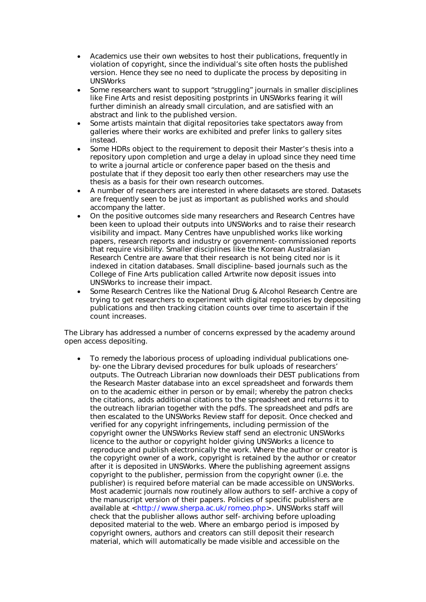- Academics use their own websites to host their publications, frequently in violation of copyright, since the individual's site often hosts the published version. Hence they see no need to duplicate the process by depositing in UNSWorks
- Some researchers want to support "struggling" journals in smaller disciplines like Fine Arts and resist depositing postprints in UNSWorks fearing it will further diminish an already small circulation, and are satisfied with an abstract and link to the published version.
- Some artists maintain that digital repositories take spectators away from galleries where their works are exhibited and prefer links to gallery sites instead.
- Some HDRs object to the requirement to deposit their Master's thesis into a repository upon completion and urge a delay in upload since they need time to write a journal article or conference paper based on the thesis and postulate that if they deposit too early then other researchers may use the thesis as a basis for their own research outcomes.
- A number of researchers are interested in where datasets are stored. Datasets are frequently seen to be just as important as published works and should accompany the latter.
- On the positive outcomes side many researchers and Research Centres have been keen to upload their outputs into UNSWorks and to raise their research visibility and impact. Many Centres have unpublished works like working papers, research reports and industry or government-commissioned reports that require visibility. Smaller disciplines like the Korean Australasian Research Centre are aware that their research is not being cited nor is it indexed in citation databases. Small discipline-based journals such as the College of Fine Arts publication called Artwrite now deposit issues into UNSWorks to increase their impact.
- Some Research Centres like the National Drug & Alcohol Research Centre are trying to get researchers to experiment with digital repositories by depositing publications and then tracking citation counts over time to ascertain if the count increases.

The Library has addressed a number of concerns expressed by the academy around open access depositing.

 To remedy the laborious process of uploading individual publications oneby-one the Library devised procedures for bulk uploads of researchers' outputs. The Outreach Librarian now downloads their DEST publications from the Research Master database into an excel spreadsheet and forwards them on to the academic either in person or by email; whereby the patron checks the citations, adds additional citations to the spreadsheet and returns it to the outreach librarian together with the pdfs. The spreadsheet and pdfs are then escalated to the UNSWorks Review staff for deposit. Once checked and verified for any copyright infringements, including permission of the copyright owner the UNSWorks Review staff send an electronic UNSWorks licence to the author or copyright holder giving UNSWorks a licence to reproduce and publish electronically the work. Where the author or creator is the copyright owner of a work, copyright is retained by the author or creator after it is deposited in UNSWorks. Where the publishing agreement assigns copyright to the publisher, permission from the copyright owner (i.e. the publisher) is required before material can be made accessible on UNSWorks. Most academic journals now routinely allow authors to self-archive a copy of the manuscript version of their papers. Policies of specific publishers are available at <http://www.sherpa.ac.uk/romeo.php>. UNSWorks staff will check that the publisher allows author self-archiving before uploading deposited material to the web. Where an embargo period is imposed by copyright owners, authors and creators can still deposit their research material, which will automatically be made visible and accessible on the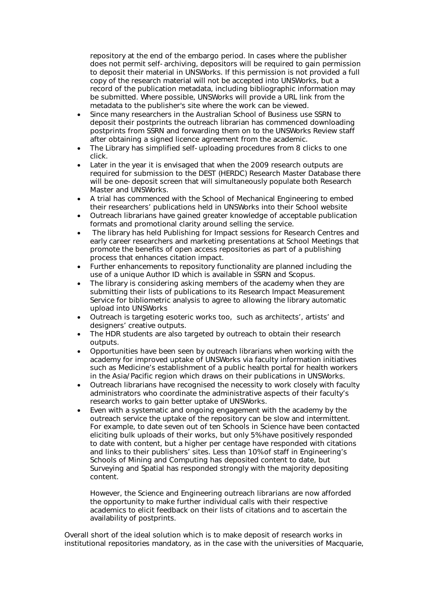repository at the end of the embargo period. In cases where the publisher does not permit self-archiving, depositors will be required to gain permission to deposit their material in UNSWorks. If this permission is not provided a full copy of the research material will not be accepted into UNSWorks, but a record of the publication metadata, including bibliographic information may be submitted. Where possible, UNSWorks will provide a URL link from the metadata to the publisher's site where the work can be viewed.

- Since many researchers in the Australian School of Business use SSRN to deposit their postprints the outreach librarian has commenced downloading postprints from SSRN and forwarding them on to the UNSWorks Review staff after obtaining a signed licence agreement from the academic.
- The Library has simplified self-uploading procedures from 8 clicks to one click.
- Later in the year it is envisaged that when the 2009 research outputs are required for submission to the DEST (HERDC) Research Master Database there will be one-deposit screen that will simultaneously populate both Research Master and UNSWorks.
- A trial has commenced with the School of Mechanical Engineering to embed their researchers' publications held in UNSWorks into their School website
- Outreach librarians have gained greater knowledge of acceptable publication formats and promotional clarity around selling the service.
- The library has held Publishing for Impact sessions for Research Centres and early career researchers and marketing presentations at School Meetings that promote the benefits of open access repositories as part of a publishing process that enhances citation impact.
- Further enhancements to repository functionality are planned including the use of a unique Author ID which is available in SSRN and Scopus.
- The library is considering asking members of the academy when they are submitting their lists of publications to its Research Impact Measurement Service for bibliometric analysis to agree to allowing the library automatic upload into UNSWorks
- Outreach is targeting esoteric works too, such as architects', artists' and designers' creative outputs.
- The HDR students are also targeted by outreach to obtain their research outputs.
- Opportunities have been seen by outreach librarians when working with the academy for improved uptake of UNSWorks via faculty information initiatives such as Medicine's establishment of a public health portal for health workers in the Asia/Pacific region which draws on their publications in UNSWorks.
- Outreach librarians have recognised the necessity to work closely with faculty administrators who coordinate the administrative aspects of their faculty's research works to gain better uptake of UNSWorks.
- Even with a systematic and ongoing engagement with the academy by the outreach service the uptake of the repository can be slow and intermittent. For example, to date seven out of ten Schools in Science have been contacted eliciting bulk uploads of their works, but only 5% have positively responded to date with content, but a higher per centage have responded with citations and links to their publishers' sites. Less than 10% of staff in Engineering's Schools of Mining and Computing has deposited content to date, but Surveying and Spatial has responded strongly with the majority depositing content.

However, the Science and Engineering outreach librarians are now afforded the opportunity to make further individual calls with their respective academics to elicit feedback on their lists of citations and to ascertain the availability of postprints.

Overall short of the ideal solution which is to make deposit of research works in institutional repositories mandatory, as in the case with the universities of Macquarie,